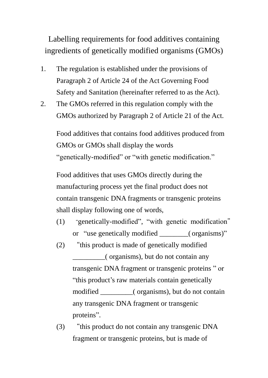Labelling requirements for food additives containing ingredients of genetically modified organisms (GMOs)

- 1. The regulation is established under the provisions of Paragraph 2 of Article 24 of the Act Governing Food Safety and Sanitation (hereinafter referred to as the Act).
- 2. The GMOs referred in this regulation comply with the GMOs authorized by Paragraph 2 of Article 21 of the Act.

Food additives that contains food additives produced from GMOs or GMOs shall display the words "genetically-modified" or "with genetic modification."

Food additives that uses GMOs directly during the manufacturing process yet the final product does not contain transgenic DNA fragments or transgenic proteins shall display following one of words,

- (1) "genetically-modified", "with genetic modification" or "use genetically modified \_\_\_\_\_\_\_\_( organisms)"
- (2) "this product is made of genetically modified \_\_\_\_\_\_\_\_\_( organisms), but do not contain any transgenic DNA fragment or transgenic proteins " or "this product's raw materials contain genetically modified \_\_\_\_\_\_\_\_\_( organisms), but do not contain any transgenic DNA fragment or transgenic proteins".
- (3) "this product do not contain any transgenic DNA fragment or transgenic proteins, but is made of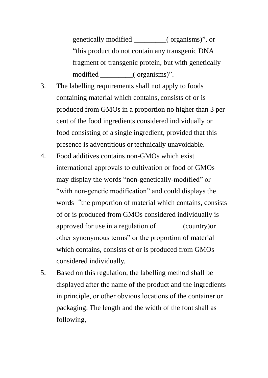genetically modified \_\_\_\_\_\_\_\_\_( organisms)", or "this product do not contain any transgenic DNA fragment or transgenic protein, but with genetically modified (organisms)".

- 3. The labelling requirements shall not apply to foods containing material which contains, consists of or is produced from GMOs in a proportion no higher than 3 per cent of the food ingredients considered individually or food consisting of a single ingredient, provided that this presence is adventitious or technically unavoidable.
- 4. Food additives contains non-GMOs which exist international approvals to cultivation or food of GMOs may display the words "non-genetically-modified" or "with non-genetic modification" and could displays the words "the proportion of material which contains, consists" of or is produced from GMOs considered individually is approved for use in a regulation of \_\_\_\_\_\_\_(country)or other synonymous terms" or the proportion of material which contains, consists of or is produced from GMOs considered individually.
- 5. Based on this regulation, the labelling method shall be displayed after the name of the product and the ingredients in principle, or other obvious locations of the container or packaging. The length and the width of the font shall as following,